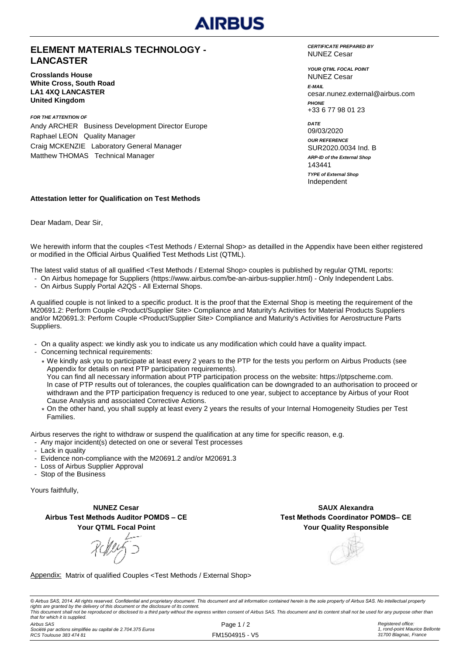

## **ELEMENT MATERIALS TECHNOLOGY - LANCASTER**

**Crosslands House White Cross, South Road LA1 4XQ LANCASTER United Kingdom**

*FOR THE ATTENTION OF* Andy ARCHER Business Development Director Europe Raphael LEON Quality Manager Craig MCKENZIE Laboratory General Manager Matthew THOMAS Technical Manager

*CERTIFICATE PREPARED BY* NUNEZ Cesar

*YOUR QTML FOCAL POINT E-MAIL* cesar.nunez.external@airbus.com *PHONE* +33 6 77 98 01 23 NUNEZ Cesar

*ARP-ID of the External Shop DATE* 09/03/2020 *OUR REFERENCE* SUR2020.0034 Ind. B Independent 143441 *TYPE of External Shop*

#### **Attestation letter for Qualification on Test Methods**

Dear Madam, Dear Sir,

We herewith inform that the couples <Test Methods / External Shop> as detailled in the Appendix have been either registered or modified in the Official Airbus Qualified Test Methods List (QTML).

The latest valid status of all qualified <Test Methods / External Shop> couples is published by regular QTML reports:

- On Airbus homepage for Suppliers (https://www.airbus.com/be-an-airbus-supplier.html) Only Independent Labs.
- On Airbus Supply Portal A2QS All External Shops.

A qualified couple is not linked to a specific product. It is the proof that the External Shop is meeting the requirement of the M20691.2: Perform Couple <Product/Supplier Site> Compliance and Maturity's Activities for Material Products Suppliers and/or M20691.3: Perform Couple <Product/Supplier Site> Compliance and Maturity's Activities for Aerostructure Parts Suppliers.

- On a quality aspect: we kindly ask you to indicate us any modification which could have a quality impact.
- Concerning technical requirements:
	- \* We kindly ask you to participate at least every 2 years to the PTP for the tests you perform on Airbus Products (see Appendix for details on next PTP participation requirements). You can find all necessary information about PTP participation process on the website: https://ptpscheme.com. In case of PTP results out of tolerances, the couples qualification can be downgraded to an authorisation to proceed or withdrawn and the PTP participation frequency is reduced to one year, subject to acceptance by Airbus of your Root Cause Analysis and associated Corrective Actions.
	- \* On the other hand, you shall supply at least every 2 years the results of your Internal Homogeneity Studies per Test Families.

Airbus reserves the right to withdraw or suspend the qualification at any time for specific reason, e.g.

- Any major incident(s) detected on one or several Test processes
- Lack in quality
- Evidence non-compliance with the M20691.2 and/or M20691.3
- Loss of Airbus Supplier Approval
- Stop of the Business

Yours faithfully,

**NUNEZ Cesar Airbus Test Methods Auditor POMDS – CE Your QTML Focal Point**

**Your Quality Responsible SAUX Alexandra Test Methods Coordinator POMDS– CE**

Appendix: Matrix of qualified Couples <Test Methods / External Shop>

© Airbus SAS, 2014. All rights reserved. Confidential and proprietary document. This document and all information contained herein is the sole property of Airbus SAS. No intellectual property rights are granted by the delivery of this document or the disclosure of its content.<br>This document shall not be reproduced or disclosed to a third party without the express written consent of Airbus SAS. This document and *that for which it is supplied.*

*Airbus SAS*

*Société par actions simplifiée au capital de 2.704.375 Euros RCS Toulouse 383 474 81*

Page 1/2 FM1504915 - V5 *Registered office: 1, rond-point Maurice Bellonte 31700 Blagnac, France*